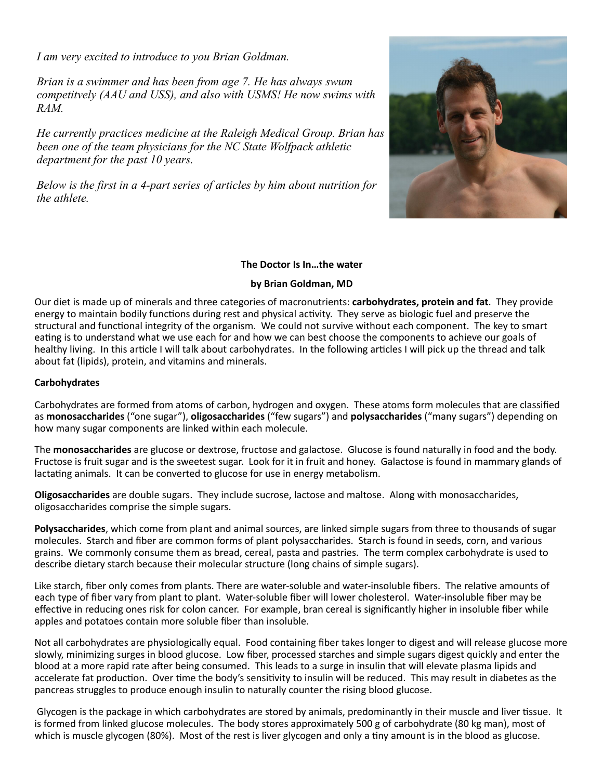*I am very excited to introduce to you Brian Goldman.*

*Brian is a swimmer and has been from age 7. He has always swum competitvely (AAU and USS), and also with USMS! He now swims with RAM.*

*He currently practices medicine at the Raleigh Medical Group. Brian has been one of the team physicians for the NC State Wolfpack athletic department for the past 10 years.*

*Below is the first in a 4-part series of articles by him about nutrition for the athlete.*



## **The Doctor Is In…the water**

## **by Brian Goldman, MD**

Our diet is made up of minerals and three categories of macronutrients: **carbohydrates, protein and fat**. They provide energy to maintain bodily functions during rest and physical activity. They serve as biologic fuel and preserve the structural and functional integrity of the organism. We could not survive without each component. The key to smart eating is to understand what we use each for and how we can best choose the components to achieve our goals of healthy living. In this article I will talk about carbohydrates. In the following articles I will pick up the thread and talk about fat (lipids), protein, and vitamins and minerals.

## **Carbohydrates**

Carbohydrates are formed from atoms of carbon, hydrogen and oxygen. These atoms form molecules that are classified as **monosaccharides** ("one sugar"), **oligosaccharides** ("few sugars") and **polysaccharides** ("many sugars") depending on how many sugar components are linked within each molecule.

The **monosaccharides** are glucose or dextrose, fructose and galactose. Glucose is found naturally in food and the body. Fructose is fruit sugar and is the sweetest sugar. Look for it in fruit and honey. Galactose is found in mammary glands of lactating animals. It can be converted to glucose for use in energy metabolism.

**Oligosaccharides** are double sugars. They include sucrose, lactose and maltose. Along with monosaccharides, oligosaccharides comprise the simple sugars.

**Polysaccharides**, which come from plant and animal sources, are linked simple sugars from three to thousands of sugar molecules. Starch and fiber are common forms of plant polysaccharides. Starch is found in seeds, corn, and various grains. We commonly consume them as bread, cereal, pasta and pastries. The term complex carbohydrate is used to describe dietary starch because their molecular structure (long chains of simple sugars).

Like starch, fiber only comes from plants. There are water-soluble and water-insoluble fibers. The relative amounts of each type of fiber vary from plant to plant. Water-soluble fiber will lower cholesterol. Water-insoluble fiber may be effective in reducing ones risk for colon cancer. For example, bran cereal is significantly higher in insoluble fiber while apples and potatoes contain more soluble fiber than insoluble.

Not all carbohydrates are physiologically equal. Food containing fiber takes longer to digest and will release glucose more slowly, minimizing surges in blood glucose. Low fiber, processed starches and simple sugars digest quickly and enter the blood at a more rapid rate after being consumed. This leads to a surge in insulin that will elevate plasma lipids and accelerate fat production. Over time the body's sensitivity to insulin will be reduced. This may result in diabetes as the pancreas struggles to produce enough insulin to naturally counter the rising blood glucose.

Glycogen is the package in which carbohydrates are stored by animals, predominantly in their muscle and liver tissue. It is formed from linked glucose molecules. The body stores approximately 500 g of carbohydrate (80 kg man), most of which is muscle glycogen (80%). Most of the rest is liver glycogen and only a tiny amount is in the blood as glucose.